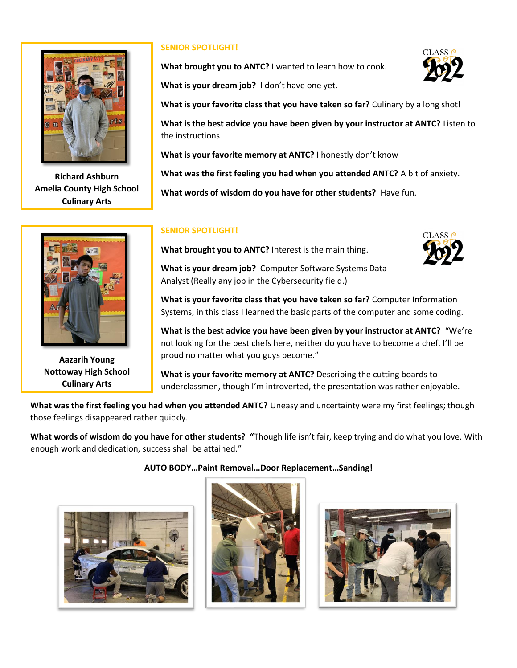

**Richard Ashburn Amelia County High School Culinary Arts**



**Aazarih Young Nottoway High School Culinary Arts**

### **SENIOR SPOTLIGHT!**

**What brought you to ANTC?** I wanted to learn how to cook.

**What is your dream job?** I don't have one yet.

**What is your favorite class that you have taken so far?** Culinary by a long shot!

**What is the best advice you have been given by your instructor at ANTC?** Listen to the instructions

**What is your favorite memory at ANTC?** I honestly don't know

**What was the first feeling you had when you attended ANTC?** A bit of anxiety.

**What words of wisdom do you have for other students?** Have fun.

#### **SENIOR SPOTLIGHT!**

**What brought you to ANTC?** Interest is the main thing.



**What is your dream job?** Computer Software Systems Data Analyst (Really any job in the Cybersecurity field.)

**What is your favorite class that you have taken so far?** Computer Information Systems, in this class I learned the basic parts of the computer and some coding.

**What is the best advice you have been given by your instructor at ANTC?** "We're not looking for the best chefs here, neither do you have to become a chef. I'll be proud no matter what you guys become."

**What is your favorite memory at ANTC?** Describing the cutting boards to underclassmen, though I'm introverted, the presentation was rather enjoyable.

**What was the first feeling you had when you attended ANTC?** Uneasy and uncertainty were my first feelings; though those feelings disappeared rather quickly.

**What words of wisdom do you have for other students? "**Though life isn't fair, keep trying and do what you love. With enough work and dedication, success shall be attained."



#### **AUTO BODY…Paint Removal…Door Replacement…Sanding!**





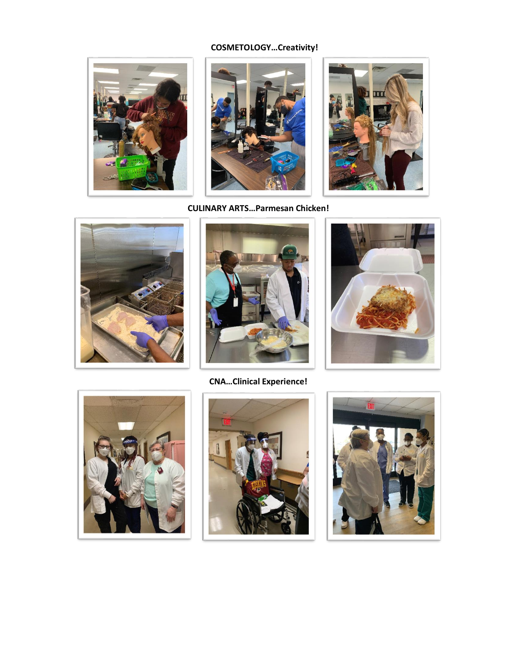# **COSMETOLOGY…Creativity!**













**CNA…Clinical Experience!**